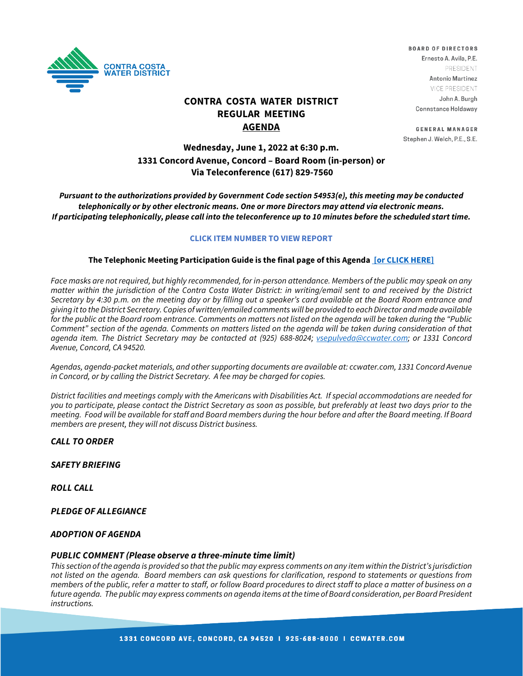

# **CONTRA COSTA WATER DISTRICT REGULAR MEETING AGENDA**

# **Wednesday, June 1, 2022 at 6:30 p.m. 1331 Concord Avenue, Concord – Board Room (in-person) or Via Teleconference (617) 829-7560**

**BOARD OF DIRECTORS** Ernesto A. Avila, P.E. **PRESIDENT** Antonio Martinez VICE PRESIDENT John A. Burgh Connstance Holdaway

**GENERAL MANAGER** Stephen J. Welch, P.E., S.E.

*Pursuant to the authorizations provided by Government Code section 54953(e), this meeting may be conducted telephonically or by other electronic means. One or more Directors may attend via electronic means. If participating telephonically, please call into the teleconference up to 10 minutes before the scheduled start time.* 

#### **CLICK ITEM NUMBER TO VIEW REPORT**

#### **The Telephonic Meeting Participation Guide is the final page of this Agenda [\[or CLICK HERE\]](https://www.ccwater.com/DocumentCenter/View/11269/Teleconference-Guide---Update-52722)**

Face masks are not required, but highly recommended, for in-person attendance. Members of the public may speak on any *matter within the jurisdiction of the Contra Costa Water District: in writing/email sent to and received by the District Secretary by 4:30 p.m. on the meeting day or by filling out a speaker's card available at the Board Room entrance and giving it to the District Secretary. Copies of written/emailed comments will be provided to each Director and made available for the public at the Board room entrance. Comments on matters not listed on the agenda will be taken during the "Public Comment" section of the agenda. Comments on matters listed on the agenda will be taken during consideration of that agenda item. The District Secretary may be contacted at (925) 688-8024; [vsepulveda@ccwater.com;](mailto:vsepulveda@ccwater.com) or 1331 Concord Avenue, Concord, CA 94520.*

*Agendas, agenda-packet materials, and other supporting documents are available at: ccwater.com, 1331 Concord Avenue in Concord, or by calling the District Secretary. A fee may be charged for copies.* 

*District facilities and meetings comply with the Americans with Disabilities Act. If special accommodations are needed for you to participate, please contact the District Secretary as soon as possible, but preferably at least two days prior to the meeting. Food will be available for staff and Board members during the hour before and after the Board meeting. If Board members are present, they will not discuss District business.*

#### *CALL TO ORDER*

#### *SAFETY BRIEFING*

*ROLL CALL*

*PLEDGE OF ALLEGIANCE*

#### *ADOPTION OF AGENDA*

#### *PUBLIC COMMENT (Please observe a three-minute time limit)*

*This section of the agenda is provided so that the public may express comments on any item within the District's jurisdiction not listed on the agenda. Board members can ask questions for clarification, respond to statements or questions from members of the public, refer a matter to staff, or follow Board procedures to direct staff to place a matter of business on a future agenda. The public may express comments on agenda items at the time of Board consideration, per Board President instructions.*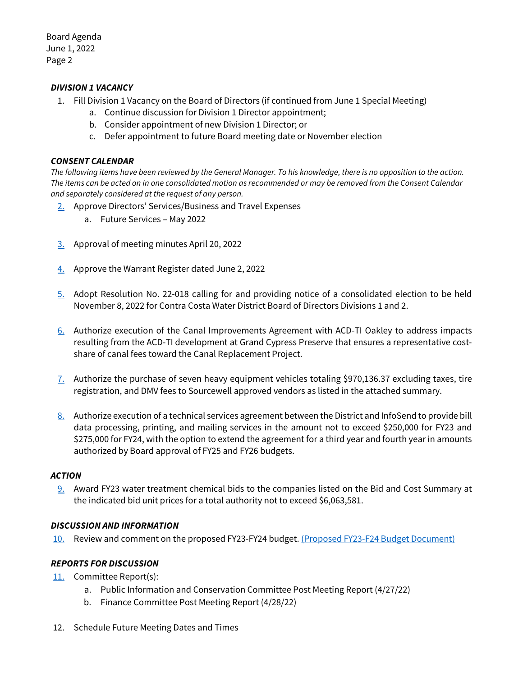Board Agenda June 1, 2022 Page 2

### *DIVISION 1 VACANCY*

- 1. Fill Division 1 Vacancy on the Board of Directors (if continued from June 1 Special Meeting)
	- a. Continue discussion for Division 1 Director appointment;
	- b. Consider appointment of new Division 1 Director; or
	- c. Defer appointment to future Board meeting date or November election

### *CONSENT CALENDAR*

*The following items have been reviewed by the General Manager. To his knowledge, there is no opposition to the action. The items can be acted on in one consolidated motion as recommended or may be removed from the Consent Calendar and separately considered at the request of any person.*

- [2.](https://www.ccwater.com/DocumentCenter/View/11256/2-2022-Calendar-of-Board-Future-Services) Approve Directors' Services/Business and Travel Expenses
	- a. Future Services May 2022
- [3.](https://www.ccwater.com/DocumentCenter/View/11257/3-042022-Board-Meeting-Minutes) Approval of meeting minutes April 20, 2022
- [4.](https://www.ccwater.com/DocumentCenter/View/11258/4--06-02-22-Warrant-Packet) Approve the Warrant Register dated June 2, 2022
- [5.](https://www.ccwater.com/DocumentCenter/View/11259/5-Notice-of-Election-Div-1-and-2) Adopt Resolution No. 22-018 calling for and providing notice of a consolidated election to be held November 8, 2022 for Contra Costa Water District Board of Directors Divisions 1 and 2.
- [6.](https://www.ccwater.com/DocumentCenter/View/11260/6-Cypress-Preserve---Canal-Improvements-Agreement) Authorize execution of the Canal Improvements Agreement with ACD-TI Oakley to address impacts resulting from the ACD-TI development at Grand Cypress Preserve that ensures a representative costshare of canal fees toward the Canal Replacement Project.
- [7.](https://www.ccwater.com/DocumentCenter/View/11261/7-Authorize-Purchase-of-Heavy-Equipment) Authorize the purchase of seven heavy equipment vehicles totaling \$970,136.37 excluding taxes, tire registration, and DMV fees to Sourcewell approved vendors as listed in the attached summary.
- [8.](https://www.ccwater.com/DocumentCenter/View/11262/8-InfoSend-Contract-Extension) Authorize execution of a technical services agreement between the District and InfoSend to provide bill data processing, printing, and mailing services in the amount not to exceed \$250,000 for FY23 and \$275,000 for FY24, with the option to extend the agreement for a third year and fourth year in amounts authorized by Board approval of FY25 and FY26 budgets.

### *ACTION*

[9.](https://www.ccwater.com/DocumentCenter/View/11263/9-FY23-Purchase-of-Water-Treatment-Chemicals) Award FY23 water treatment chemical bids to the companies listed on the Bid and Cost Summary at the indicated bid unit prices for a total authority not to exceed \$6,063,581.

### *DISCUSSION AND INFORMATION*

[10.](https://www.ccwater.com/DocumentCenter/View/11264/10-Review-of-the-Proposed-FY23-FY24-Budget-Part-2) Review and comment on the proposed FY23-FY24 budget. [\(Proposed FY23-F24 Budget Document\)](https://www.ccwater.com/DocumentCenter/View/11164/FY23-FY24-Proposed-Budget_June1)

### *REPORTS FOR DISCUSSION*

- [11.](https://www.ccwater.com/DocumentCenter/View/11265/11-Committee-Post-Meeting-Reports) Committee Report(s):
	- a. Public Information and Conservation Committee Post Meeting Report (4/27/22)
	- b. Finance Committee Post Meeting Report (4/28/22)
- 12. Schedule Future Meeting Dates and Times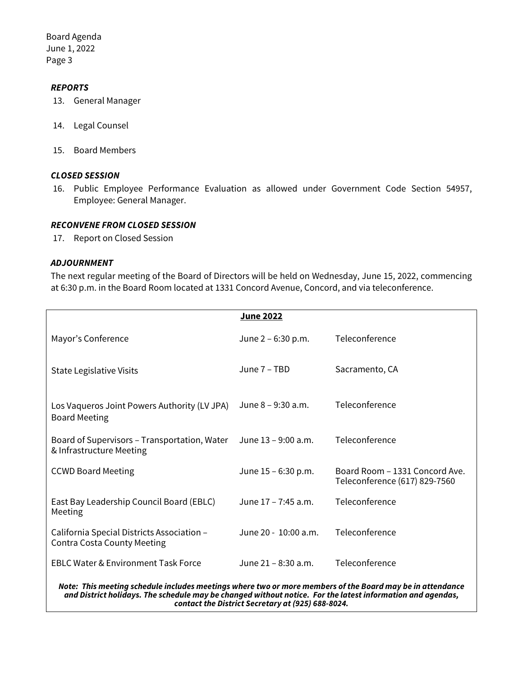Board Agenda June 1, 2022 Page 3

### *REPORTS*

- 13. General Manager
- 14. Legal Counsel
- 15. Board Members

### *CLOSED SESSION*

16. Public Employee Performance Evaluation as allowed under Government Code Section 54957, Employee: General Manager.

#### *RECONVENE FROM CLOSED SESSION*

17. Report on Closed Session

### *ADJOURNMENT*

The next regular meeting of the Board of Directors will be held on Wednesday, June 15, 2022, commencing at 6:30 p.m. in the Board Room located at 1331 Concord Avenue, Concord, and via teleconference.

|                                                                                                                                                                                                                         | June 2022            |                                                                 |
|-------------------------------------------------------------------------------------------------------------------------------------------------------------------------------------------------------------------------|----------------------|-----------------------------------------------------------------|
| Mayor's Conference                                                                                                                                                                                                      | June $2 - 6:30$ p.m. | Teleconference                                                  |
| <b>State Legislative Visits</b>                                                                                                                                                                                         | June 7 – TBD         | Sacramento, CA                                                  |
| Los Vaqueros Joint Powers Authority (LV JPA)<br><b>Board Meeting</b>                                                                                                                                                    | June 8 - 9:30 a.m.   | Teleconference                                                  |
| Board of Supervisors – Transportation, Water<br>& Infrastructure Meeting                                                                                                                                                | June 13 – 9:00 a.m.  | Teleconference                                                  |
| <b>CCWD Board Meeting</b>                                                                                                                                                                                               | June 15 – 6:30 p.m.  | Board Room - 1331 Concord Ave.<br>Teleconference (617) 829-7560 |
| East Bay Leadership Council Board (EBLC)<br>Meeting                                                                                                                                                                     | June 17 - 7:45 a.m.  | Teleconference                                                  |
| California Special Districts Association -<br><b>Contra Costa County Meeting</b>                                                                                                                                        | June 20 - 10:00 a.m. | Teleconference                                                  |
| <b>EBLC Water &amp; Environment Task Force</b>                                                                                                                                                                          | June 21 - 8:30 a.m.  | Teleconference                                                  |
| Note: This meeting schedule includes meetings where two or more members of the Board may be in attendance<br>and District holidays. The schedule may be changed without notice. For the latest information and agendas, |                      |                                                                 |

*contact the District Secretary at (925) 688-8024.*